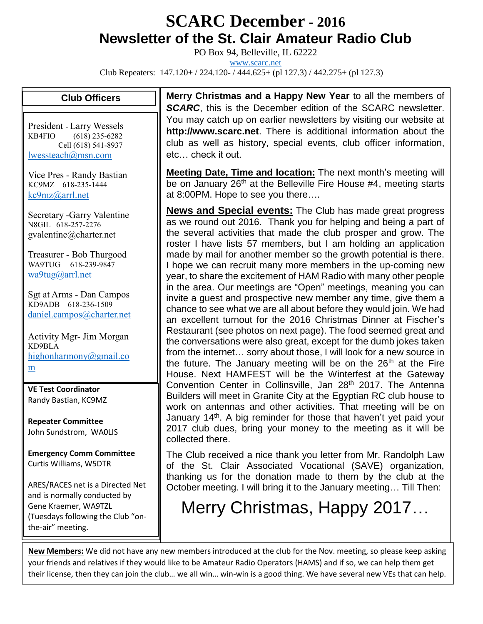## **SCARC December - <sup>2016</sup> Newsletter of the St. Clair Amateur Radio Club**

PO Box 94, Belleville, IL 62222

[www.scarc.net](http://www.scarc.net/)

Club Repeaters: 147.120+ / 224.120- / 444.625+ (pl 127.3) / 442.275+ (pl 127.3)

## **Club Officers**

President - Larry Wessels KB4FIO (618) 235-6282 Cell (618) 541-8937 [lwessteach@msn.com](mailto:lwessteach@msn.com)

Vice Pres - Randy Bastian KC9MZ 618-235-1444 [kc9mz@arrl.net](mailto:kc9mz@arrl.net)

Secretary -Garry Valentine N8GIL 618-257-2276 gvalentine@charter.net

Treasurer - Bob Thurgood WA9TUG 618-239-9847 [wa9tug@arrl.net](mailto:wa9tug@arrl.net)

Sgt at Arms - Dan Campos KD9ADB 618-236-1509 [daniel.campos@charter.net](mailto:daniel.campos@charter.net)

Activity Mgr- Jim Morgan KD9BLA [highonharmony@gmail.co](mailto:highonharmony@gmail.com) [m](mailto:highonharmony@gmail.com)

**VE Test Coordinator** Randy Bastian, KC9MZ

**Repeater Committee** John Sundstrom, WA0LIS

**Emergency Comm Committee** Curtis Williams, W5DTR

ARES/RACES net is a Directed Net and is normally conducted by Gene Kraemer, WA9TZL (Tuesdays following the Club "onthe-air" meeting.

**Merry Christmas and a Happy New Year** to all the members of *SCARC*, this is the December edition of the SCARC newsletter. You may catch up on earlier newsletters by visiting our website at **http://www.scarc.net**. There is additional information about the club as well as history, special events, club officer information, etc… check it out.

**Meeting Date, Time and location:** The next month's meeting will be on January 26<sup>th</sup> at the Belleville Fire House #4, meeting starts at 8:00PM. Hope to see you there….

**News and Special events:** The Club has made great progress as we round out 2016. Thank you for helping and being a part of the several activities that made the club prosper and grow. The roster I have lists 57 members, but I am holding an application made by mail for another member so the growth potential is there. I hope we can recruit many more members in the up-coming new year, to share the excitement of HAM Radio with many other people in the area. Our meetings are "Open" meetings, meaning you can invite a guest and prospective new member any time, give them a chance to see what we are all about before they would join. We had an excellent turnout for the 2016 Christmas Dinner at Fischer's Restaurant (see photos on next page). The food seemed great and the conversations were also great, except for the dumb jokes taken from the internet… sorry about those, I will look for a new source in the future. The January meeting will be on the  $26<sup>th</sup>$  at the Fire House. Next HAMFEST will be the Winterfest at the Gateway Convention Center in Collinsville, Jan 28<sup>th</sup> 2017. The Antenna Builders will meet in Granite City at the Egyptian RC club house to work on antennas and other activities. That meeting will be on January 14<sup>th</sup>. A big reminder for those that haven't yet paid your 2017 club dues, bring your money to the meeting as it will be collected there.

The Club received a nice thank you letter from Mr. Randolph Law of the St. Clair Associated Vocational (SAVE) organization, thanking us for the donation made to them by the club at the October meeting. I will bring it to the January meeting… Till Then:

## Merry Christmas, Happy 2017…

**New Members:** We did not have any new members introduced at the club for the Nov. meeting, so please keep asking your friends and relatives if they would like to be Amateur Radio Operators (HAMS) and if so, we can help them get their license, then they can join the club… we all win… win-win is a good thing. We have several new VEs that can help.